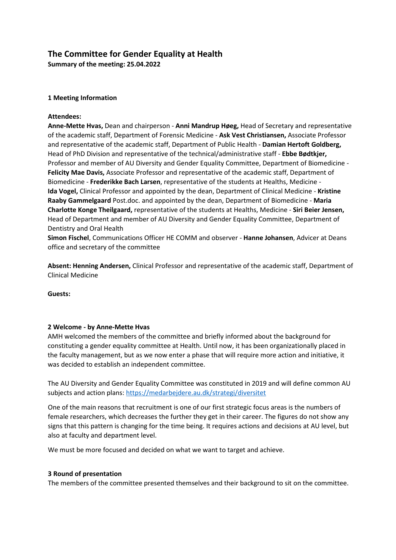# **The Committee for Gender Equality at Health**

**Summary of the meeting: 25.04.2022**

## **1 Meeting Information**

## **Attendees:**

**Anne-Mette Hvas,** Dean and chairperson - **Anni Mandrup Høeg,** Head of Secretary and representative of the academic staff, Department of Forensic Medicine - **Ask Vest Christiansen,** Associate Professor and representative of the academic staff, Department of Public Health - **Damian Hertoft Goldberg,** Head of PhD Division and representative of the technical/administrative staff - **Ebbe Bødtkjer,** Professor and member of AU Diversity and Gender Equality Committee, Department of Biomedicine - **Felicity Mae Davis,** Associate Professor and representative of the academic staff, Department of Biomedicine - **Frederikke Bach Larsen**, representative of the students at Healths, Medicine - **Ida Vogel,** Clinical Professor and appointed by the dean, Department of Clinical Medicine - **Kristine Raaby Gammelgaard** Post.doc. and appointed by the dean, Department of Biomedicine - **Maria Charlotte Konge Theilgaard,** representative of the students at Healths, Medicine - **Siri Beier Jensen,** Head of Department and member of AU Diversity and Gender Equality Committee, Department of Dentistry and Oral Health

**Simon Fischel**, Communications Officer HE COMM and observer - **Hanne Johansen**, Advicer at Deans office and secretary of the committee

**Absent: Henning Andersen,** Clinical Professor and representative of the academic staff, Department of Clinical Medicine

**Guests:**

#### **2 Welcome - by Anne-Mette Hvas**

AMH welcomed the members of the committee and briefly informed about the background for constituting a gender equality committee at Health. Until now, it has been organizationally placed in the faculty management, but as we now enter a phase that will require more action and initiative, it was decided to establish an independent committee.

The AU Diversity and Gender Equality Committee was constituted in 2019 and will define common AU subjects and action plans[: https://medarbejdere.au.dk/strategi/diversitet](https://medarbejdere.au.dk/strategi/diversitet)

One of the main reasons that recruitment is one of our first strategic focus areas is the numbers of female researchers, which decreases the further they get in their career. The figures do not show any signs that this pattern is changing for the time being. It requires actions and decisions at AU level, but also at faculty and department level.

We must be more focused and decided on what we want to target and achieve.

#### **3 Round of presentation**

The members of the committee presented themselves and their background to sit on the committee.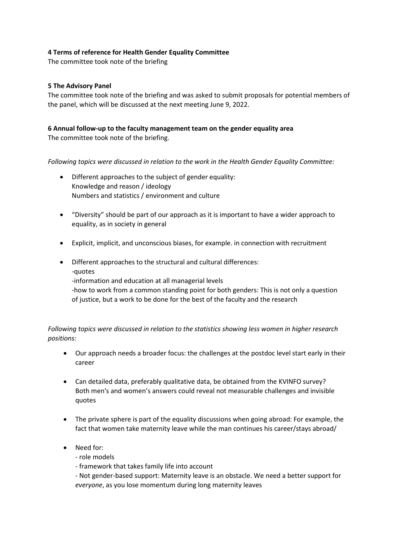## **4 Terms of reference for Health Gender Equality Committee**

The committee took note of the briefing

### **5 The Advisory Panel**

The committee took note of the briefing and was asked to submit proposals for potential members of the panel, which will be discussed at the next meeting June 9, 2022.

## **6 Annual follow-up to the faculty management team on the gender equality area**

The committee took note of the briefing.

*Following topics were discussed in relation to the work in the Health Gender Equality Committee:*

- Different approaches to the subject of gender equality: Knowledge and reason / ideology Numbers and statistics / environment and culture
- "Diversity" should be part of our approach as it is important to have a wider approach to equality, as in society in general
- Explicit, implicit, and unconscious biases, for example. in connection with recruitment
- Different approaches to the structural and cultural differences: -quotes -information and education at all managerial levels -how to work from a common standing point for both genders: This is not only a question of justice, but a work to be done for the best of the faculty and the research

## *Following topics were discussed in relation to the statistics showing less women in higher research positions:*

- Our approach needs a broader focus: the challenges at the postdoc level start early in their career
- Can detailed data, preferably qualitative data, be obtained from the KVINFO survey? Both men's and women's answers could reveal not measurable challenges and invisible quotes
- The private sphere is part of the equality discussions when going abroad: For example, the fact that women take maternity leave while the man continues his career/stays abroad/
- Need for:
	- role models
	- framework that takes family life into account
	- Not gender-based support: Maternity leave is an obstacle. We need a better support for *everyone*, as you lose momentum during long maternity leaves